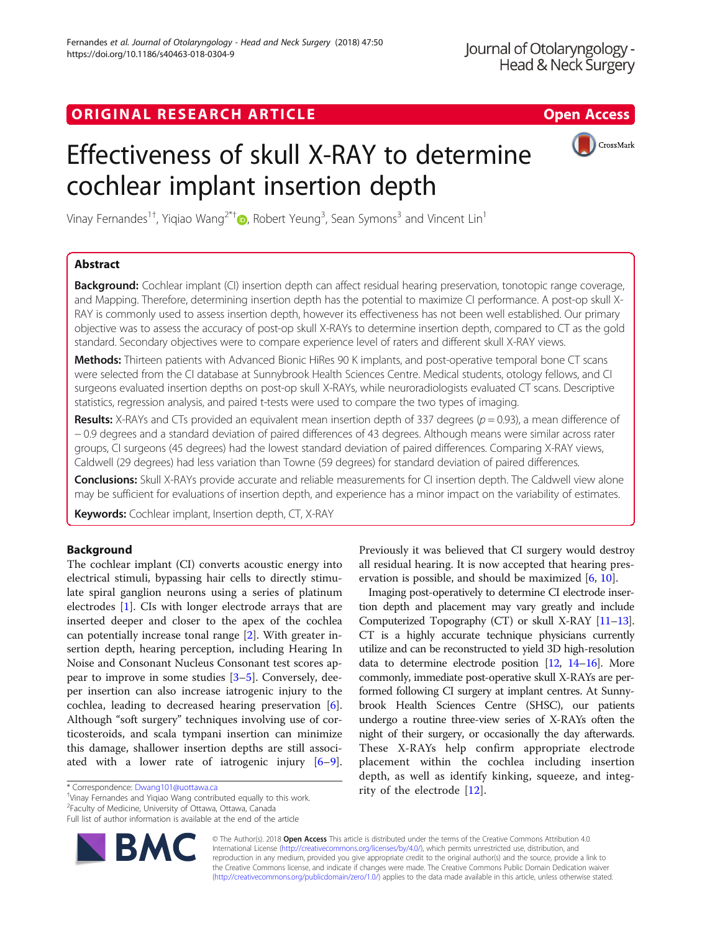# ORIGINAL RESEARCH ARTICLE **Solution Contract Contract Contract Contract Contract Contract Contract Contract Contract Contract Contract Contract Contract Contract Contract Contract Contract Contract Contract Contract Contra**



# Effectiveness of skull X-RAY to determine cochlear implant insertion depth

Vinay Fernandes $^{1\dagger}$ [,](http://orcid.org/0000-0003-0904-343X) Yiqiao Wang $^{2*\dagger}$  (D, Robert Yeung $^3$ , Sean Symons $^3$  and Vincent Lin $^1$ 

# Abstract

**Background:** Cochlear implant (CI) insertion depth can affect residual hearing preservation, tonotopic range coverage, and Mapping. Therefore, determining insertion depth has the potential to maximize CI performance. A post-op skull X-RAY is commonly used to assess insertion depth, however its effectiveness has not been well established. Our primary objective was to assess the accuracy of post-op skull X-RAYs to determine insertion depth, compared to CT as the gold standard. Secondary objectives were to compare experience level of raters and different skull X-RAY views.

Methods: Thirteen patients with Advanced Bionic HiRes 90 K implants, and post-operative temporal bone CT scans were selected from the CI database at Sunnybrook Health Sciences Centre. Medical students, otology fellows, and CI surgeons evaluated insertion depths on post-op skull X-RAYs, while neuroradiologists evaluated CT scans. Descriptive statistics, regression analysis, and paired t-tests were used to compare the two types of imaging.

**Results:** X-RAYs and CTs provided an equivalent mean insertion depth of 337 degrees ( $p = 0.93$ ), a mean difference of − 0.9 degrees and a standard deviation of paired differences of 43 degrees. Although means were similar across rater groups, CI surgeons (45 degrees) had the lowest standard deviation of paired differences. Comparing X-RAY views, Caldwell (29 degrees) had less variation than Towne (59 degrees) for standard deviation of paired differences.

**Conclusions:** Skull X-RAYs provide accurate and reliable measurements for CI insertion depth. The Caldwell view alone may be sufficient for evaluations of insertion depth, and experience has a minor impact on the variability of estimates.

Keywords: Cochlear implant, Insertion depth, CT, X-RAY

# Background

The cochlear implant (CI) converts acoustic energy into electrical stimuli, bypassing hair cells to directly stimulate spiral ganglion neurons using a series of platinum electrodes [[1\]](#page-5-0). CIs with longer electrode arrays that are inserted deeper and closer to the apex of the cochlea can potentially increase tonal range [[2\]](#page-5-0). With greater insertion depth, hearing perception, including Hearing In Noise and Consonant Nucleus Consonant test scores appear to improve in some studies [[3](#page-6-0)–[5\]](#page-6-0). Conversely, deeper insertion can also increase iatrogenic injury to the cochlea, leading to decreased hearing preservation [\[6](#page-6-0)]. Although "soft surgery" techniques involving use of corticosteroids, and scala tympani insertion can minimize this damage, shallower insertion depths are still associated with a lower rate of iatrogenic injury [\[6](#page-6-0)–[9](#page-6-0)].

rity of the electrode [\[12](#page-6-0)]. \* Correspondence: [Dwang101@uottawa.ca](mailto:Dwang101@uottawa.ca) † Vinay Fernandes and Yiqiao Wang contributed equally to this work.

2 Faculty of Medicine, University of Ottawa, Ottawa, Canada

Full list of author information is available at the end of the article



Previously it was believed that CI surgery would destroy all residual hearing. It is now accepted that hearing preservation is possible, and should be maximized [[6](#page-6-0), [10](#page-6-0)].

Imaging post-operatively to determine CI electrode insertion depth and placement may vary greatly and include Computerized Topography (CT) or skull X-RAY [\[11](#page-6-0)–[13](#page-6-0)]. CT is a highly accurate technique physicians currently utilize and can be reconstructed to yield 3D high-resolution data to determine electrode position [\[12,](#page-6-0) [14](#page-6-0)–[16\]](#page-6-0). More commonly, immediate post-operative skull X-RAYs are performed following CI surgery at implant centres. At Sunnybrook Health Sciences Centre (SHSC), our patients undergo a routine three-view series of X-RAYs often the night of their surgery, or occasionally the day afterwards. These X-RAYs help confirm appropriate electrode placement within the cochlea including insertion depth, as well as identify kinking, squeeze, and integ-

© The Author(s). 2018 Open Access This article is distributed under the terms of the Creative Commons Attribution 4.0 International License [\(http://creativecommons.org/licenses/by/4.0/](http://creativecommons.org/licenses/by/4.0/)), which permits unrestricted use, distribution, and reproduction in any medium, provided you give appropriate credit to the original author(s) and the source, provide a link to the Creative Commons license, and indicate if changes were made. The Creative Commons Public Domain Dedication waiver [\(http://creativecommons.org/publicdomain/zero/1.0/](http://creativecommons.org/publicdomain/zero/1.0/)) applies to the data made available in this article, unless otherwise stated.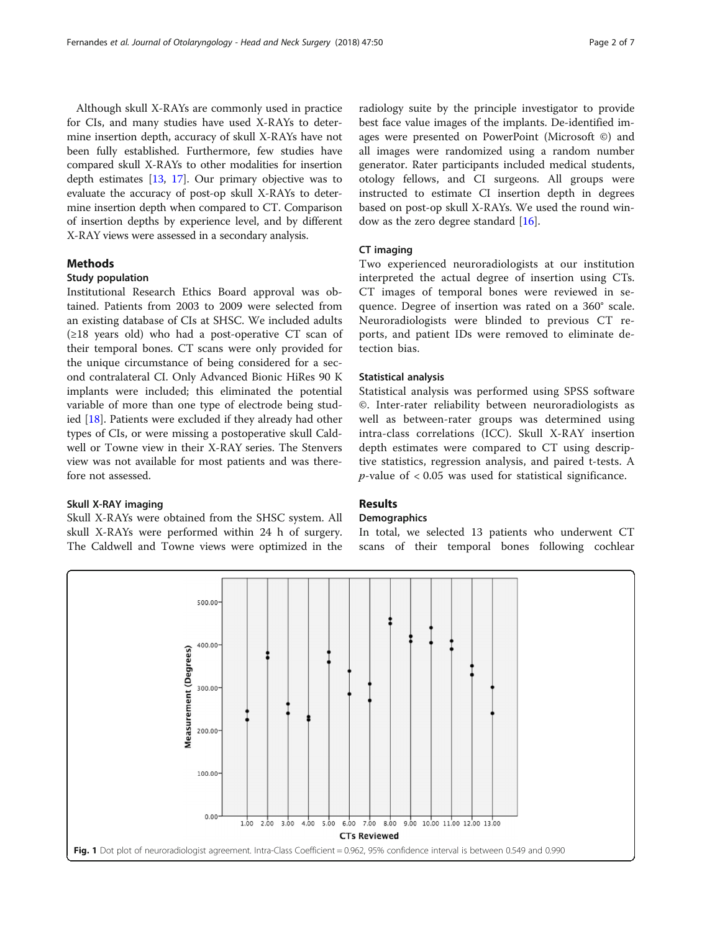<span id="page-1-0"></span>Although skull X-RAYs are commonly used in practice for CIs, and many studies have used X-RAYs to determine insertion depth, accuracy of skull X-RAYs have not been fully established. Furthermore, few studies have compared skull X-RAYs to other modalities for insertion depth estimates [\[13,](#page-6-0) [17](#page-6-0)]. Our primary objective was to evaluate the accuracy of post-op skull X-RAYs to determine insertion depth when compared to CT. Comparison of insertion depths by experience level, and by different X-RAY views were assessed in a secondary analysis.

# Methods

## Study population

Institutional Research Ethics Board approval was obtained. Patients from 2003 to 2009 were selected from an existing database of CIs at SHSC. We included adults  $(\geq 18$  years old) who had a post-operative CT scan of their temporal bones. CT scans were only provided for the unique circumstance of being considered for a second contralateral CI. Only Advanced Bionic HiRes 90 K implants were included; this eliminated the potential variable of more than one type of electrode being studied [\[18\]](#page-6-0). Patients were excluded if they already had other types of CIs, or were missing a postoperative skull Caldwell or Towne view in their X-RAY series. The Stenvers view was not available for most patients and was therefore not assessed.

#### Skull X-RAY imaging

Skull X-RAYs were obtained from the SHSC system. All skull X-RAYs were performed within 24 h of surgery. The Caldwell and Towne views were optimized in the

radiology suite by the principle investigator to provide best face value images of the implants. De-identified images were presented on PowerPoint (Microsoft ©) and all images were randomized using a random number generator. Rater participants included medical students, otology fellows, and CI surgeons. All groups were instructed to estimate CI insertion depth in degrees based on post-op skull X-RAYs. We used the round window as the zero degree standard [\[16](#page-6-0)].

## CT imaging

Two experienced neuroradiologists at our institution interpreted the actual degree of insertion using CTs. CT images of temporal bones were reviewed in sequence. Degree of insertion was rated on a 360° scale. Neuroradiologists were blinded to previous CT reports, and patient IDs were removed to eliminate detection bias.

## Statistical analysis

Statistical analysis was performed using SPSS software ©. Inter-rater reliability between neuroradiologists as well as between-rater groups was determined using intra-class correlations (ICC). Skull X-RAY insertion depth estimates were compared to CT using descriptive statistics, regression analysis, and paired t-tests. A  $p$ -value of  $< 0.05$  was used for statistical significance.

# Results

#### **Demographics**

In total, we selected 13 patients who underwent CT scans of their temporal bones following cochlear

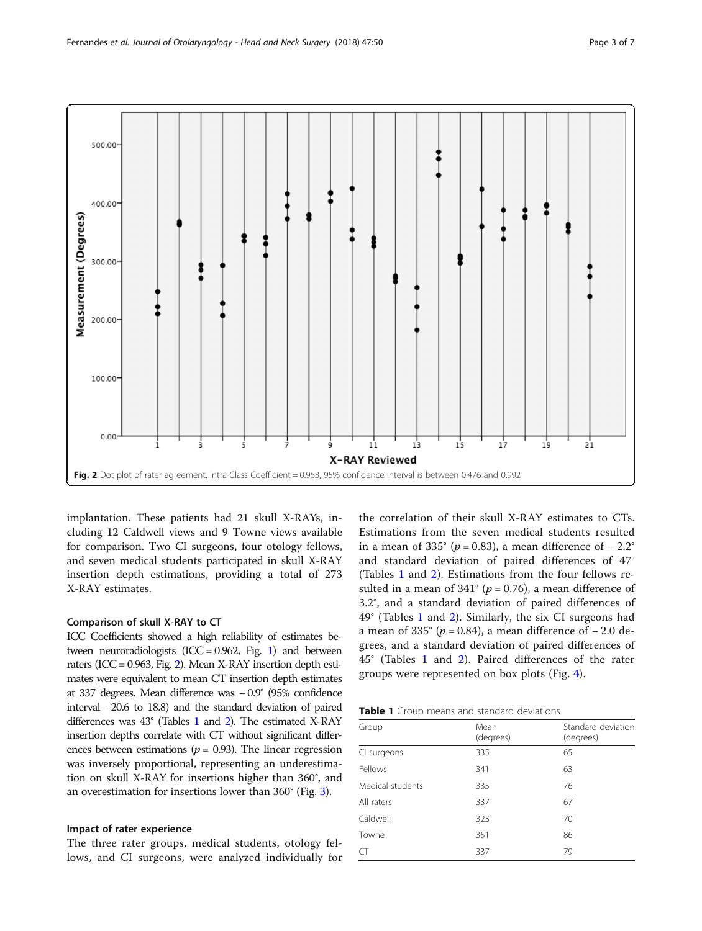<span id="page-2-0"></span>

implantation. These patients had 21 skull X-RAYs, including 12 Caldwell views and 9 Towne views available for comparison. Two CI surgeons, four otology fellows, and seven medical students participated in skull X-RAY insertion depth estimations, providing a total of 273 X-RAY estimates.

# Comparison of skull X-RAY to CT

ICC Coefficients showed a high reliability of estimates between neuroradiologists (ICC =  $0.962$ , Fig. [1\)](#page-1-0) and between raters (ICC = 0.963, Fig. 2). Mean X-RAY insertion depth estimates were equivalent to mean CT insertion depth estimates at 337 degrees. Mean difference was − 0.9° (95% confidence interval − 20.6 to 18.8) and the standard deviation of paired differences was 43° (Tables 1 and [2](#page-3-0)). The estimated X-RAY insertion depths correlate with CT without significant differences between estimations ( $p = 0.93$ ). The linear regression was inversely proportional, representing an underestimation on skull X-RAY for insertions higher than 360°, and an overestimation for insertions lower than 360° (Fig. [3](#page-3-0)).

# Impact of rater experience

The three rater groups, medical students, otology fellows, and CI surgeons, were analyzed individually for

the correlation of their skull X-RAY estimates to CTs. Estimations from the seven medical students resulted in a mean of 335° ( $p = 0.83$ ), a mean difference of  $-2.2$ ° and standard deviation of paired differences of 47° (Tables 1 and [2\)](#page-3-0). Estimations from the four fellows resulted in a mean of 341° ( $p = 0.76$ ), a mean difference of 3.2°, and a standard deviation of paired differences of 49° (Tables 1 and [2\)](#page-3-0). Similarly, the six CI surgeons had a mean of 335° ( $p = 0.84$ ), a mean difference of  $-2.0$  degrees, and a standard deviation of paired differences of 45° (Tables 1 and [2](#page-3-0)). Paired differences of the rater groups were represented on box plots (Fig. [4\)](#page-4-0).

| Table 1 Group means and standard deviations |  |
|---------------------------------------------|--|
|---------------------------------------------|--|

| Group            | Mean<br>(degrees) | Standard deviation<br>(degrees) |
|------------------|-------------------|---------------------------------|
| CI surgeons      | 335               | 65                              |
| Fellows          | 341               | 63                              |
| Medical students | 335               | 76                              |
| All raters       | 337               | 67                              |
| Caldwell         | 323               | 70                              |
| Towne            | 351               | 86                              |
| CT               | 337               | 79                              |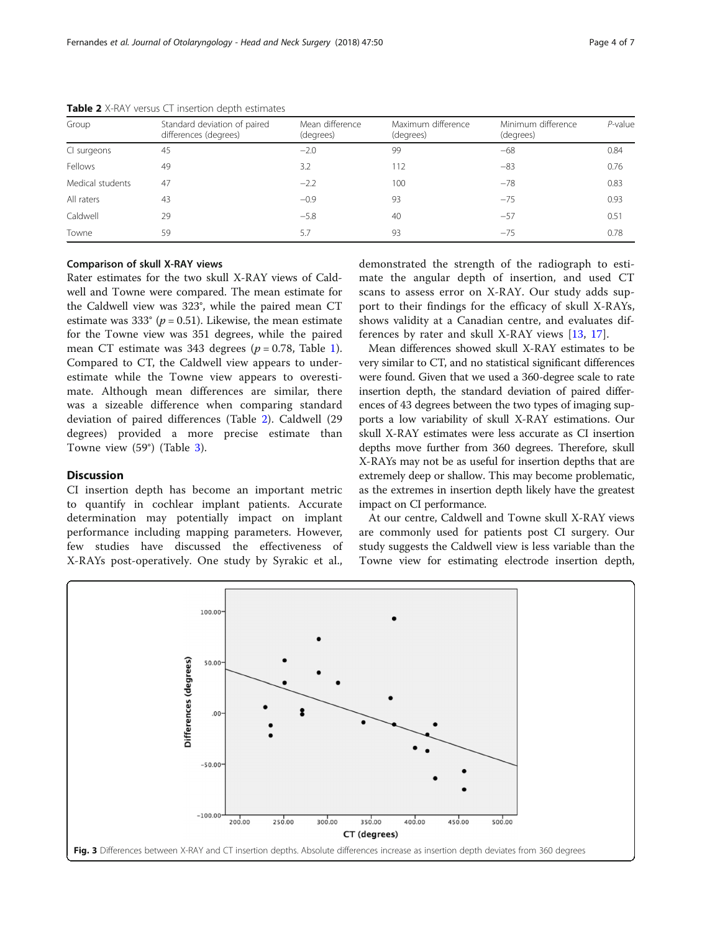| Group            | Standard deviation of paired<br>differences (degrees) | Mean difference<br>(degrees) | Maximum difference<br>(degrees) | Minimum difference<br>(degrees) | $P$ -value |
|------------------|-------------------------------------------------------|------------------------------|---------------------------------|---------------------------------|------------|
| CI surgeons      | 45                                                    | $-2.0$                       | 99                              | $-68$                           | 0.84       |
| Fellows          | 49                                                    | 3.2                          | 112                             | $-83$                           | 0.76       |
| Medical students | 47                                                    | $-2.2$                       | 100                             | $-78$                           | 0.83       |
| All raters       | 43                                                    | $-0.9$                       | 93                              | $-75$                           | 0.93       |
| Caldwell         | 29                                                    | $-5.8$                       | 40                              | $-57$                           | 0.51       |
| Towne            | 59                                                    | 5.7                          | 93                              | $-75$                           | 0.78       |

<span id="page-3-0"></span>Table 2 X-RAY versus CT insertion depth estimates

# Comparison of skull X-RAY views

Rater estimates for the two skull X-RAY views of Caldwell and Towne were compared. The mean estimate for the Caldwell view was 323°, while the paired mean CT estimate was 333 $^{\circ}$  (p = 0.51). Likewise, the mean estimate for the Towne view was 351 degrees, while the paired mean CT estimate was 343 degrees ( $p = 0.78$ , Table [1](#page-2-0)). Compared to CT, the Caldwell view appears to underestimate while the Towne view appears to overestimate. Although mean differences are similar, there was a sizeable difference when comparing standard deviation of paired differences (Table 2). Caldwell (29 degrees) provided a more precise estimate than Towne view (59°) (Table [3](#page-4-0)).

# **Discussion**

CI insertion depth has become an important metric to quantify in cochlear implant patients. Accurate determination may potentially impact on implant performance including mapping parameters. However, few studies have discussed the effectiveness of X-RAYs post-operatively. One study by Syrakic et al.,

demonstrated the strength of the radiograph to estimate the angular depth of insertion, and used CT scans to assess error on X-RAY. Our study adds support to their findings for the efficacy of skull X-RAYs, shows validity at a Canadian centre, and evaluates differences by rater and skull X-RAY views [\[13](#page-6-0), [17](#page-6-0)].

Mean differences showed skull X-RAY estimates to be very similar to CT, and no statistical significant differences were found. Given that we used a 360-degree scale to rate insertion depth, the standard deviation of paired differences of 43 degrees between the two types of imaging supports a low variability of skull X-RAY estimations. Our skull X-RAY estimates were less accurate as CI insertion depths move further from 360 degrees. Therefore, skull X-RAYs may not be as useful for insertion depths that are extremely deep or shallow. This may become problematic, as the extremes in insertion depth likely have the greatest impact on CI performance.

At our centre, Caldwell and Towne skull X-RAY views are commonly used for patients post CI surgery. Our study suggests the Caldwell view is less variable than the Towne view for estimating electrode insertion depth,

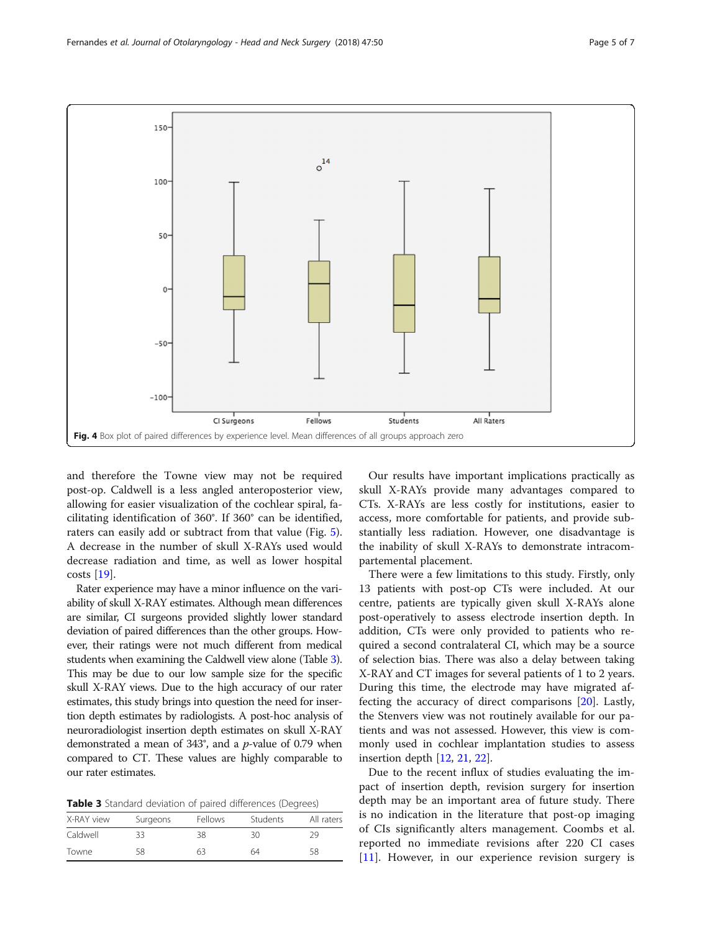<span id="page-4-0"></span>

and therefore the Towne view may not be required post-op. Caldwell is a less angled anteroposterior view, allowing for easier visualization of the cochlear spiral, facilitating identification of 360°. If 360° can be identified, raters can easily add or subtract from that value (Fig. [5](#page-5-0)). A decrease in the number of skull X-RAYs used would decrease radiation and time, as well as lower hospital costs [\[19\]](#page-6-0).

Rater experience may have a minor influence on the variability of skull X-RAY estimates. Although mean differences are similar, CI surgeons provided slightly lower standard deviation of paired differences than the other groups. However, their ratings were not much different from medical students when examining the Caldwell view alone (Table 3). This may be due to our low sample size for the specific skull X-RAY views. Due to the high accuracy of our rater estimates, this study brings into question the need for insertion depth estimates by radiologists. A post-hoc analysis of neuroradiologist insertion depth estimates on skull X-RAY demonstrated a mean of  $343^\circ$ , and a *p*-value of 0.79 when compared to CT. These values are highly comparable to our rater estimates.

Table 3 Standard deviation of paired differences (Degrees)

| X-RAY view | Surgeons | Fellows | <b>Students</b> | All raters |
|------------|----------|---------|-----------------|------------|
| Caldwell   | 33       | 38      | 30              | 29         |
| Towne      | 58       | 63      | 64              | 58         |

Our results have important implications practically as skull X-RAYs provide many advantages compared to CTs. X-RAYs are less costly for institutions, easier to access, more comfortable for patients, and provide substantially less radiation. However, one disadvantage is the inability of skull X-RAYs to demonstrate intracompartemental placement.

There were a few limitations to this study. Firstly, only 13 patients with post-op CTs were included. At our centre, patients are typically given skull X-RAYs alone post-operatively to assess electrode insertion depth. In addition, CTs were only provided to patients who required a second contralateral CI, which may be a source of selection bias. There was also a delay between taking X-RAY and CT images for several patients of 1 to 2 years. During this time, the electrode may have migrated affecting the accuracy of direct comparisons [[20\]](#page-6-0). Lastly, the Stenvers view was not routinely available for our patients and was not assessed. However, this view is commonly used in cochlear implantation studies to assess insertion depth [\[12](#page-6-0), [21,](#page-6-0) [22\]](#page-6-0).

Due to the recent influx of studies evaluating the impact of insertion depth, revision surgery for insertion depth may be an important area of future study. There is no indication in the literature that post-op imaging of CIs significantly alters management. Coombs et al. reported no immediate revisions after 220 CI cases [[11\]](#page-6-0). However, in our experience revision surgery is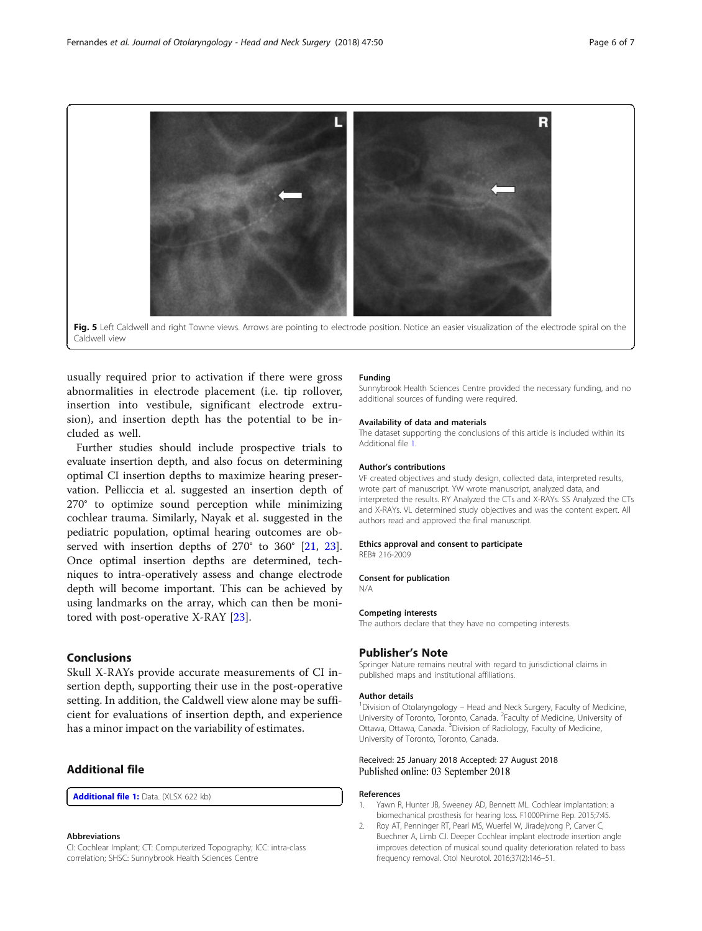<span id="page-5-0"></span>

usually required prior to activation if there were gross abnormalities in electrode placement (i.e. tip rollover, insertion into vestibule, significant electrode extrusion), and insertion depth has the potential to be included as well.

Further studies should include prospective trials to evaluate insertion depth, and also focus on determining optimal CI insertion depths to maximize hearing preservation. Pelliccia et al. suggested an insertion depth of 270° to optimize sound perception while minimizing cochlear trauma. Similarly, Nayak et al. suggested in the pediatric population, optimal hearing outcomes are observed with insertion depths of 270° to 360° [\[21](#page-6-0), [23](#page-6-0)]. Once optimal insertion depths are determined, techniques to intra-operatively assess and change electrode depth will become important. This can be achieved by using landmarks on the array, which can then be monitored with post-operative X-RAY [\[23](#page-6-0)].

# Conclusions

Skull X-RAYs provide accurate measurements of CI insertion depth, supporting their use in the post-operative setting. In addition, the Caldwell view alone may be sufficient for evaluations of insertion depth, and experience has a minor impact on the variability of estimates.

# Additional file

[Additional file 1:](https://doi.org/10.1186/s40463-018-0304-9) Data. (XLSX 622 kb)

#### Abbreviations

CI: Cochlear Implant; CT: Computerized Topography; ICC: intra-class correlation; SHSC: Sunnybrook Health Sciences Centre

#### Funding

Sunnybrook Health Sciences Centre provided the necessary funding, and no additional sources of funding were required.

#### Availability of data and materials

The dataset supporting the conclusions of this article is included within its Additional file 1.

#### Author's contributions

VF created objectives and study design, collected data, interpreted results, wrote part of manuscript. YW wrote manuscript, analyzed data, and interpreted the results. RY Analyzed the CTs and X-RAYs. SS Analyzed the CTs and X-RAYs. VL determined study objectives and was the content expert. All authors read and approved the final manuscript.

#### Ethics approval and consent to participate REB# 216-2009

# Consent for publication

N/A

#### Competing interests

The authors declare that they have no competing interests.

#### Publisher's Note

Springer Nature remains neutral with regard to jurisdictional claims in published maps and institutional affiliations.

#### Author details

<sup>1</sup> Division of Otolaryngology - Head and Neck Surgery, Faculty of Medicine University of Toronto, Toronto, Canada. <sup>2</sup> Faculty of Medicine, University of Ottawa, Ottawa, Canada. <sup>3</sup> Division of Radiology, Faculty of Medicine, University of Toronto, Toronto, Canada.

#### Received: 25 January 2018 Accepted: 27 August 2018 Published online: 03 September 2018

#### References

- 1. Yawn R, Hunter JB, Sweeney AD, Bennett ML. Cochlear implantation: a biomechanical prosthesis for hearing loss. F1000Prime Rep. 2015;7:45.
- 2. Roy AT, Penninger RT, Pearl MS, Wuerfel W, Jiradejvong P, Carver C, Buechner A, Limb CJ. Deeper Cochlear implant electrode insertion angle improves detection of musical sound quality deterioration related to bass frequency removal. Otol Neurotol. 2016;37(2):146–51.